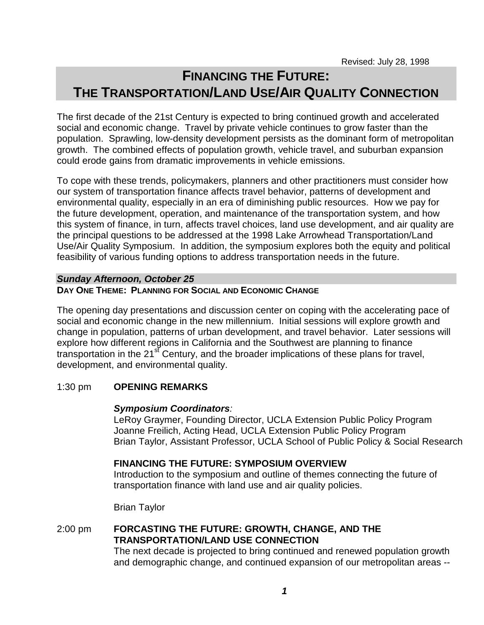# **FINANCING THE FUTURE: THE TRANSPORTATION/LAND USE/AIR QUALITY CONNECTION**

The first decade of the 21st Century is expected to bring continued growth and accelerated social and economic change. Travel by private vehicle continues to grow faster than the population. Sprawling, low-density development persists as the dominant form of metropolitan growth. The combined effects of population growth, vehicle travel, and suburban expansion could erode gains from dramatic improvements in vehicle emissions.

To cope with these trends, policymakers, planners and other practitioners must consider how our system of transportation finance affects travel behavior, patterns of development and environmental quality, especially in an era of diminishing public resources. How we pay for the future development, operation, and maintenance of the transportation system, and how this system of finance, in turn, affects travel choices, land use development, and air quality are the principal questions to be addressed at the 1998 Lake Arrowhead Transportation/Land Use/Air Quality Symposium. In addition, the symposium explores both the equity and political feasibility of various funding options to address transportation needs in the future.

#### *Sunday Afternoon, October 25*

#### **DAY ONE THEME: PLANNING FOR SOCIAL AND ECONOMIC CHANGE**

The opening day presentations and discussion center on coping with the accelerating pace of social and economic change in the new millennium. Initial sessions will explore growth and change in population, patterns of urban development, and travel behavior. Later sessions will explore how different regions in California and the Southwest are planning to finance transportation in the  $21<sup>st</sup>$  Century, and the broader implications of these plans for travel, development, and environmental quality.

#### 1:30 pm **OPENING REMARKS**

#### *Symposium Coordinators:*

LeRoy Graymer, Founding Director, UCLA Extension Public Policy Program Joanne Freilich, Acting Head, UCLA Extension Public Policy Program Brian Taylor, Assistant Professor, UCLA School of Public Policy & Social Research

### **FINANCING THE FUTURE: SYMPOSIUM OVERVIEW**

Introduction to the symposium and outline of themes connecting the future of transportation finance with land use and air quality policies.

Brian Taylor

2:00 pm **FORCASTING THE FUTURE: GROWTH, CHANGE, AND THE TRANSPORTATION/LAND USE CONNECTION**

The next decade is projected to bring continued and renewed population growth and demographic change, and continued expansion of our metropolitan areas --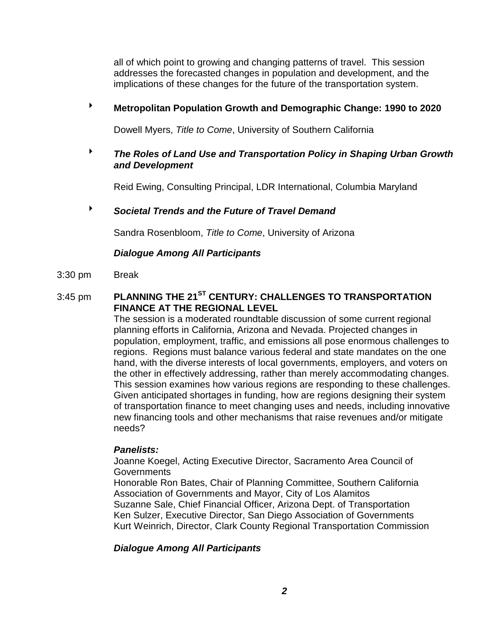all of which point to growing and changing patterns of travel. This session addresses the forecasted changes in population and development, and the implications of these changes for the future of the transportation system.

# **Metropolitan Population Growth and Demographic Change: 1990 to 2020**

Dowell Myers, *Title to Come*, University of Southern California

# *The Roles of Land Use and Transportation Policy in Shaping Urban Growth and Development*

Reid Ewing, Consulting Principal, LDR International, Columbia Maryland

# *Societal Trends and the Future of Travel Demand*

Sandra Rosenbloom, *Title to Come*, University of Arizona

# *Dialogue Among All Participants*

3:30 pm Break

# 3:45 pm **PLANNING THE 21ST CENTURY: CHALLENGES TO TRANSPORTATION FINANCE AT THE REGIONAL LEVEL**

The session is a moderated roundtable discussion of some current regional planning efforts in California, Arizona and Nevada. Projected changes in population, employment, traffic, and emissions all pose enormous challenges to regions. Regions must balance various federal and state mandates on the one hand, with the diverse interests of local governments, employers, and voters on the other in effectively addressing, rather than merely accommodating changes. This session examines how various regions are responding to these challenges. Given anticipated shortages in funding, how are regions designing their system of transportation finance to meet changing uses and needs, including innovative new financing tools and other mechanisms that raise revenues and/or mitigate needs?

### *Panelists:*

Joanne Koegel, Acting Executive Director, Sacramento Area Council of **Governments** 

Honorable Ron Bates, Chair of Planning Committee, Southern California Association of Governments and Mayor, City of Los Alamitos Suzanne Sale, Chief Financial Officer, Arizona Dept. of Transportation Ken Sulzer, Executive Director, San Diego Association of Governments Kurt Weinrich, Director, Clark County Regional Transportation Commission

# *Dialogue Among All Participants*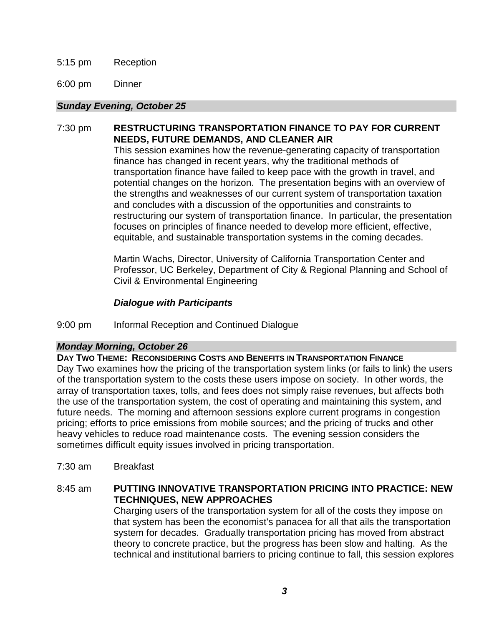### 5:15 pm Reception

6:00 pm Dinner

### *Sunday Evening, October 25*

# 7:30 pm **RESTRUCTURING TRANSPORTATION FINANCE TO PAY FOR CURRENT NEEDS, FUTURE DEMANDS, AND CLEANER AIR**

This session examines how the revenue-generating capacity of transportation finance has changed in recent years, why the traditional methods of transportation finance have failed to keep pace with the growth in travel, and potential changes on the horizon. The presentation begins with an overview of the strengths and weaknesses of our current system of transportation taxation and concludes with a discussion of the opportunities and constraints to restructuring our system of transportation finance. In particular, the presentation focuses on principles of finance needed to develop more efficient, effective, equitable, and sustainable transportation systems in the coming decades.

Martin Wachs, Director, University of California Transportation Center and Professor, UC Berkeley, Department of City & Regional Planning and School of Civil & Environmental Engineering

# *Dialogue with Participants*

### 9:00 pm Informal Reception and Continued Dialogue

### *Monday Morning, October 26*

### **DAY TWO THEME: RECONSIDERING COSTS AND BENEFITS IN TRANSPORTATION FINANCE**

Day Two examines how the pricing of the transportation system links (or fails to link) the users of the transportation system to the costs these users impose on society. In other words, the array of transportation taxes, tolls, and fees does not simply raise revenues, but affects both the use of the transportation system, the cost of operating and maintaining this system, and future needs. The morning and afternoon sessions explore current programs in congestion pricing; efforts to price emissions from mobile sources; and the pricing of trucks and other heavy vehicles to reduce road maintenance costs. The evening session considers the sometimes difficult equity issues involved in pricing transportation.

7:30 am Breakfast

# 8:45 am **PUTTING INNOVATIVE TRANSPORTATION PRICING INTO PRACTICE: NEW TECHNIQUES, NEW APPROACHES**

Charging users of the transportation system for all of the costs they impose on that system has been the economist's panacea for all that ails the transportation system for decades. Gradually transportation pricing has moved from abstract theory to concrete practice, but the progress has been slow and halting. As the technical and institutional barriers to pricing continue to fall, this session explores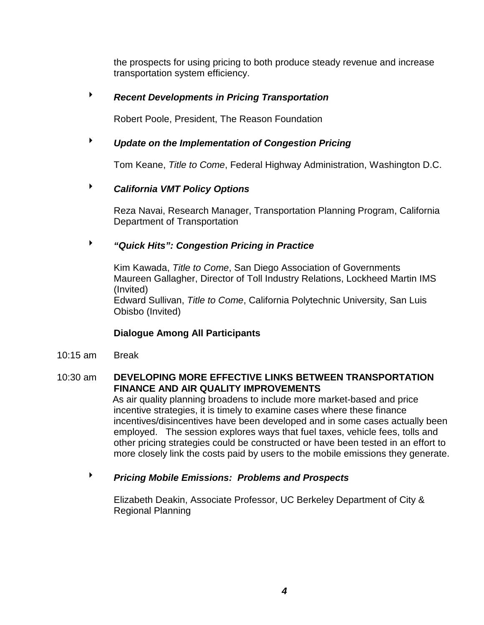the prospects for using pricing to both produce steady revenue and increase transportation system efficiency.

# *Recent Developments in Pricing Transportation*

Robert Poole, President, The Reason Foundation

# *Update on the Implementation of Congestion Pricing*

Tom Keane, *Title to Come*, Federal Highway Administration, Washington D.C.

# *California VMT Policy Options*

Reza Navai, Research Manager, Transportation Planning Program, California Department of Transportation

# *"Quick Hits": Congestion Pricing in Practice*

Kim Kawada, *Title to Come*, San Diego Association of Governments Maureen Gallagher, Director of Toll Industry Relations, Lockheed Martin IMS (Invited) Edward Sullivan, *Title to Come*, California Polytechnic University, San Luis Obisbo (Invited)

# **Dialogue Among All Participants**

10:15 am Break

# 10:30 am **DEVELOPING MORE EFFECTIVE LINKS BETWEEN TRANSPORTATION FINANCE AND AIR QUALITY IMPROVEMENTS**

As air quality planning broadens to include more market-based and price incentive strategies, it is timely to examine cases where these finance incentives/disincentives have been developed and in some cases actually been employed. The session explores ways that fuel taxes, vehicle fees, tolls and other pricing strategies could be constructed or have been tested in an effort to more closely link the costs paid by users to the mobile emissions they generate.

# *Pricing Mobile Emissions: Problems and Prospects*

Elizabeth Deakin, Associate Professor, UC Berkeley Department of City & Regional Planning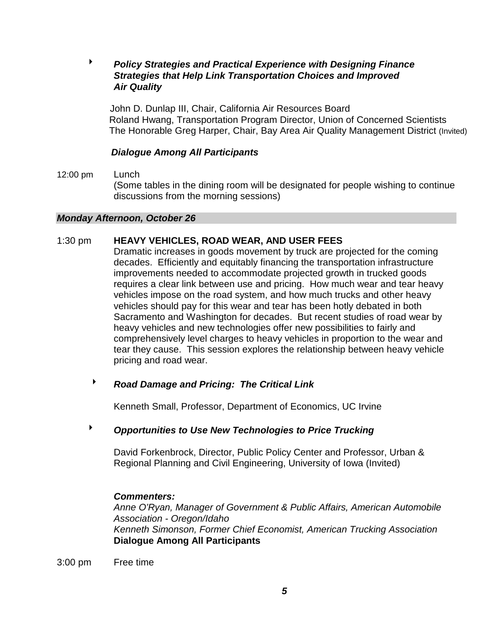# *Policy Strategies and Practical Experience with Designing Finance Strategies that Help Link Transportation Choices and Improved Air Quality*

 John D. Dunlap III, Chair, California Air Resources Board Roland Hwang, Transportation Program Director, Union of Concerned Scientists The Honorable Greg Harper, Chair, Bay Area Air Quality Management District (Invited)

### *Dialogue Among All Participants*

12:00 pm Lunch (Some tables in the dining room will be designated for people wishing to continue discussions from the morning sessions)

### *Monday Afternoon, October 26*

#### 1:30 pm **HEAVY VEHICLES, ROAD WEAR, AND USER FEES**

Dramatic increases in goods movement by truck are projected for the coming decades. Efficiently and equitably financing the transportation infrastructure improvements needed to accommodate projected growth in trucked goods requires a clear link between use and pricing. How much wear and tear heavy vehicles impose on the road system, and how much trucks and other heavy vehicles should pay for this wear and tear has been hotly debated in both Sacramento and Washington for decades. But recent studies of road wear by heavy vehicles and new technologies offer new possibilities to fairly and comprehensively level charges to heavy vehicles in proportion to the wear and tear they cause. This session explores the relationship between heavy vehicle pricing and road wear.

# *Road Damage and Pricing: The Critical Link*

Kenneth Small, Professor, Department of Economics, UC Irvine

# *Opportunities to Use New Technologies to Price Trucking*

David Forkenbrock, Director, Public Policy Center and Professor, Urban & Regional Planning and Civil Engineering, University of Iowa (Invited)

#### *Commenters:*

*Anne O'Ryan, Manager of Government & Public Affairs, American Automobile Association - Oregon/Idaho Kenneth Simonson, Former Chief Economist, American Trucking Association*   **Dialogue Among All Participants**

#### 3:00 pm Free time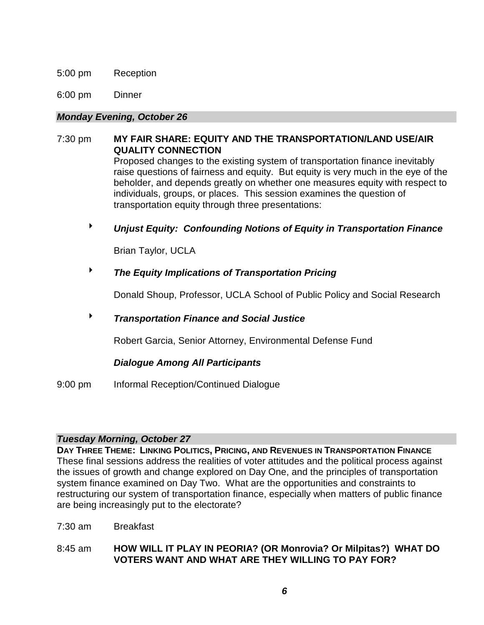#### 5:00 pm Reception

6:00 pm Dinner

#### *Monday Evening, October 26*

# 7:30 pm **MY FAIR SHARE: EQUITY AND THE TRANSPORTATION/LAND USE/AIR QUALITY CONNECTION** Proposed changes to the existing system of transportation finance inevitably

raise questions of fairness and equity. But equity is very much in the eye of the beholder, and depends greatly on whether one measures equity with respect to individuals, groups, or places. This session examines the question of transportation equity through three presentations:

*Unjust Equity: Confounding Notions of Equity in Transportation Finance*

Brian Taylor, UCLA

# *The Equity Implications of Transportation Pricing*

Donald Shoup, Professor, UCLA School of Public Policy and Social Research

# *Transportation Finance and Social Justice*

Robert Garcia, Senior Attorney, Environmental Defense Fund

### *Dialogue Among All Participants*

9:00 pm Informal Reception/Continued Dialogue

### *Tuesday Morning, October 27*

**DAY THREE THEME: LINKING POLITICS, PRICING, AND REVENUES IN TRANSPORTATION FINANCE** These final sessions address the realities of voter attitudes and the political process against the issues of growth and change explored on Day One, and the principles of transportation system finance examined on Day Two. What are the opportunities and constraints to restructuring our system of transportation finance, especially when matters of public finance are being increasingly put to the electorate?

7:30 am Breakfast

8:45 am **HOW WILL IT PLAY IN PEORIA? (OR Monrovia? Or Milpitas?) WHAT DO VOTERS WANT AND WHAT ARE THEY WILLING TO PAY FOR?**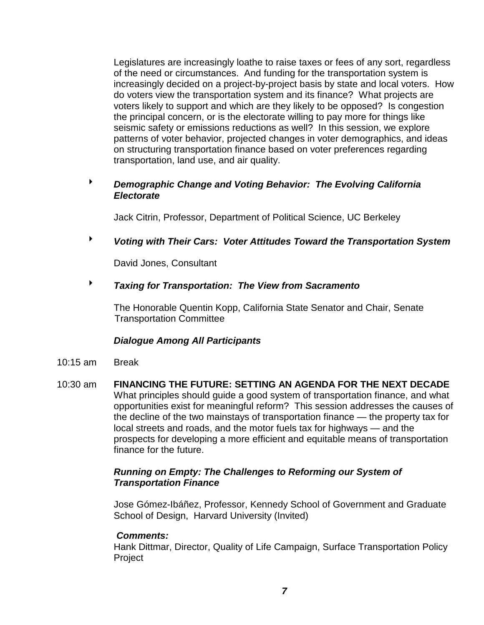Legislatures are increasingly loathe to raise taxes or fees of any sort, regardless of the need or circumstances. And funding for the transportation system is increasingly decided on a project-by-project basis by state and local voters. How do voters view the transportation system and its finance? What projects are voters likely to support and which are they likely to be opposed? Is congestion the principal concern, or is the electorate willing to pay more for things like seismic safety or emissions reductions as well? In this session, we explore patterns of voter behavior, projected changes in voter demographics, and ideas on structuring transportation finance based on voter preferences regarding transportation, land use, and air quality.

# *Demographic Change and Voting Behavior: The Evolving California Electorate*

Jack Citrin, Professor, Department of Political Science, UC Berkeley

*Voting with Their Cars: Voter Attitudes Toward the Transportation System*

David Jones, Consultant

*Taxing for Transportation: The View from Sacramento*

The Honorable Quentin Kopp, California State Senator and Chair, Senate Transportation Committee

### *Dialogue Among All Participants*

- 10:15 am Break
- 10:30 am **FINANCING THE FUTURE: SETTING AN AGENDA FOR THE NEXT DECADE** What principles should guide a good system of transportation finance, and what opportunities exist for meaningful reform? This session addresses the causes of the decline of the two mainstays of transportation finance — the property tax for local streets and roads, and the motor fuels tax for highways — and the prospects for developing a more efficient and equitable means of transportation finance for the future.

### *Running on Empty: The Challenges to Reforming our System of Transportation Finance*

Jose Gómez-Ibáñez, Professor, Kennedy School of Government and Graduate School of Design, Harvard University (Invited)

### *Comments:*

Hank Dittmar, Director, Quality of Life Campaign, Surface Transportation Policy Project